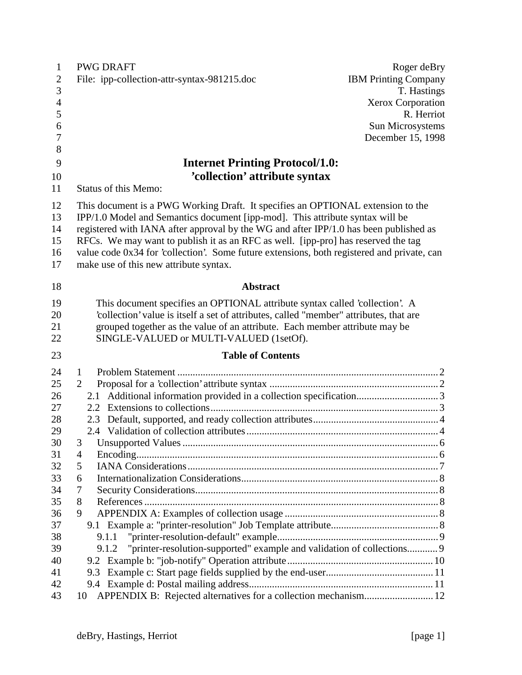| $\mathbf{1}$   | <b>PWG DRAFT</b><br>Roger deBry                                                            |  |
|----------------|--------------------------------------------------------------------------------------------|--|
| $\overline{2}$ | <b>IBM Printing Company</b><br>File: ipp-collection-attr-syntax-981215.doc                 |  |
| 3              | T. Hastings                                                                                |  |
| $\overline{4}$ | Xerox Corporation                                                                          |  |
| 5              | R. Herriot                                                                                 |  |
| 6              | Sun Microsystems                                                                           |  |
| $\overline{7}$ | December 15, 1998                                                                          |  |
| 8              |                                                                                            |  |
| 9              | <b>Internet Printing Protocol/1.0:</b>                                                     |  |
| 10             | 'collection' attribute syntax                                                              |  |
| 11             | <b>Status of this Memo:</b>                                                                |  |
| 12             | This document is a PWG Working Draft. It specifies an OPTIONAL extension to the            |  |
| 13             | IPP/1.0 Model and Semantics document [ipp-mod]. This attribute syntax will be              |  |
| 14             | registered with IANA after approval by the WG and after IPP/1.0 has been published as      |  |
| 15             | RFCs. We may want to publish it as an RFC as well. [ipp-pro] has reserved the tag          |  |
| 16             | value code 0x34 for 'collection'. Some future extensions, both registered and private, can |  |
| 17             | make use of this new attribute syntax.                                                     |  |
| 18             | <b>Abstract</b>                                                                            |  |
| 19             | This document specifies an OPTIONAL attribute syntax called 'collection'. A                |  |
| 20             | 'collection' value is itself a set of attributes, called "member" attributes, that are     |  |
| 21             | grouped together as the value of an attribute. Each member attribute may be                |  |
| 22             | SINGLE-VALUED or MULTI-VALUED (1setOf).                                                    |  |
| 23             | <b>Table of Contents</b>                                                                   |  |
| 24             | 1                                                                                          |  |
| 25             | 2                                                                                          |  |
| 26             |                                                                                            |  |
| 27             |                                                                                            |  |
| 28             |                                                                                            |  |
| 29             |                                                                                            |  |
| 30             | 3 Unsupported Values                                                                       |  |
| 31             | 4                                                                                          |  |
| 32             | 5                                                                                          |  |
| 33             | 6                                                                                          |  |
| 34             | 7                                                                                          |  |
| 35             | 8                                                                                          |  |
| 36             | 9                                                                                          |  |
| 37             |                                                                                            |  |
| 38             | 9.1.1                                                                                      |  |
| 39<br>40       | "printer-resolution-supported" example and validation of collections 9<br>9.1.2            |  |
| 41             |                                                                                            |  |
| 42             |                                                                                            |  |
| 43             | APPENDIX B: Rejected alternatives for a collection mechanism 12<br>10                      |  |
|                |                                                                                            |  |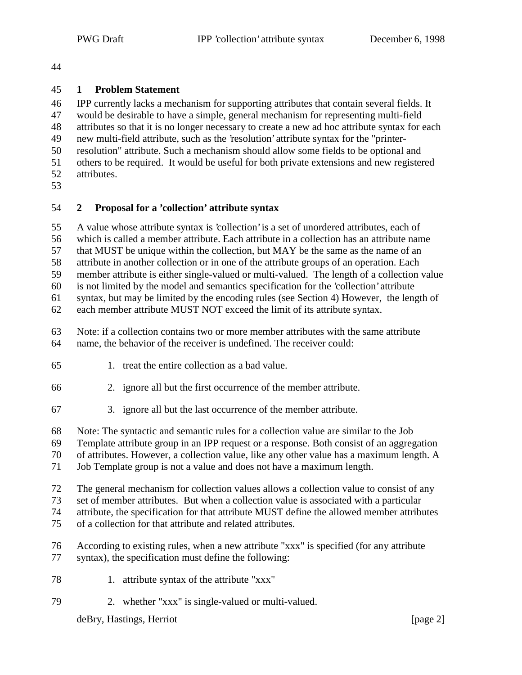## **1 Problem Statement**

 IPP currently lacks a mechanism for supporting attributes that contain several fields. It would be desirable to have a simple, general mechanism for representing multi-field attributes so that it is no longer necessary to create a new ad hoc attribute syntax for each new multi-field attribute, such as the 'resolution' attribute syntax for the "printer- resolution" attribute. Such a mechanism should allow some fields to be optional and others to be required. It would be useful for both private extensions and new registered attributes. 

## **2 Proposal for a 'collection' attribute syntax**

A value whose attribute syntax is 'collection' is a set of unordered attributes, each of

which is called a member attribute. Each attribute in a collection has an attribute name

that MUST be unique within the collection, but MAY be the same as the name of an

attribute in another collection or in one of the attribute groups of an operation. Each

member attribute is either single-valued or multi-valued. The length of a collection value

is not limited by the model and semantics specification for the 'collection' attribute

 syntax, but may be limited by the encoding rules (see Section 4) However, the length of each member attribute MUST NOT exceed the limit of its attribute syntax.

Note: if a collection contains two or more member attributes with the same attribute

name, the behavior of the receiver is undefined. The receiver could:

- 1. treat the entire collection as a bad value.
- 2. ignore all but the first occurrence of the member attribute.
- 3. ignore all but the last occurrence of the member attribute.

Note: The syntactic and semantic rules for a collection value are similar to the Job

Template attribute group in an IPP request or a response. Both consist of an aggregation

of attributes. However, a collection value, like any other value has a maximum length. A

Job Template group is not a value and does not have a maximum length.

The general mechanism for collection values allows a collection value to consist of any

set of member attributes. But when a collection value is associated with a particular

attribute, the specification for that attribute MUST define the allowed member attributes

of a collection for that attribute and related attributes.

According to existing rules, when a new attribute "xxx" is specified (for any attribute

- syntax), the specification must define the following:
- 1. attribute syntax of the attribute "xxx"
- 2. whether "xxx" is single-valued or multi-valued.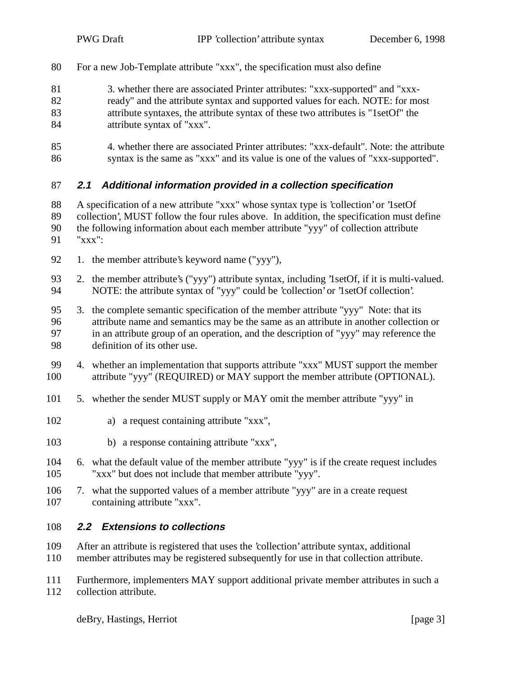- For a new Job-Template attribute "xxx", the specification must also define
- 3. whether there are associated Printer attributes: "xxx-supported" and "xxx-
- ready" and the attribute syntax and supported values for each. NOTE: for most attribute syntaxes, the attribute syntax of these two attributes is "1setOf" the
- attribute syntax of "xxx".
- 4. whether there are associated Printer attributes: "xxx-default". Note: the attribute syntax is the same as "xxx" and its value is one of the values of "xxx-supported".

# **2.1 Additional information provided in a collection specification**

 A specification of a new attribute "xxx" whose syntax type is 'collection' or '1setOf collection', MUST follow the four rules above. In addition, the specification must define the following information about each member attribute "yyy" of collection attribute "xxx":

- 
- 92 1. the member attribute's keyword name ("yyy"),
- 2. the member attribute's ("yyy") attribute syntax, including '1setOf, if it is multi-valued. NOTE: the attribute syntax of "yyy" could be 'collection' or '1setOf collection'.

 3. the complete semantic specification of the member attribute "yyy" Note: that its attribute name and semantics may be the same as an attribute in another collection or in an attribute group of an operation, and the description of "yyy" may reference the definition of its other use.

- 4. whether an implementation that supports attribute "xxx" MUST support the member attribute "yyy" (REQUIRED) or MAY support the member attribute (OPTIONAL).
- 5. whether the sender MUST supply or MAY omit the member attribute "yyy" in
- a) a request containing attribute "xxx",
- b) a response containing attribute "xxx",
- 6. what the default value of the member attribute "yyy" is if the create request includes "xxx" but does not include that member attribute "yyy".
- 7. what the supported values of a member attribute "yyy" are in a create request containing attribute "xxx".

## **2.2 Extensions to collections**

- After an attribute is registered that uses the 'collection' attribute syntax, additional
- member attributes may be registered subsequently for use in that collection attribute.
- Furthermore, implementers MAY support additional private member attributes in such a collection attribute.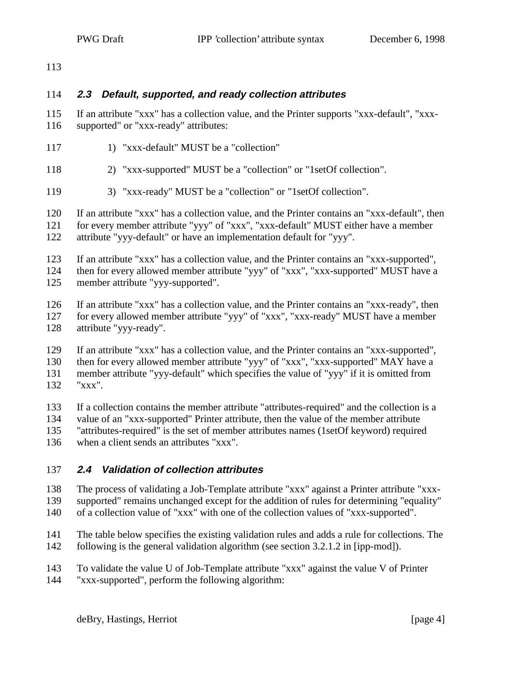### **2.3 Default, supported, and ready collection attributes**

 If an attribute "xxx" has a collection value, and the Printer supports "xxx-default", "xxx-supported" or "xxx-ready" attributes:

- 1) "xxx-default" MUST be a "collection"
- 2) "xxx-supported" MUST be a "collection" or "1setOf collection".
- 3) "xxx-ready" MUST be a "collection" or "1setOf collection".

 If an attribute "xxx" has a collection value, and the Printer contains an "xxx-default", then for every member attribute "yyy" of "xxx", "xxx-default" MUST either have a member attribute "yyy-default" or have an implementation default for "yyy".

 If an attribute "xxx" has a collection value, and the Printer contains an "xxx-supported", then for every allowed member attribute "yyy" of "xxx", "xxx-supported" MUST have a member attribute "yyy-supported".

- If an attribute "xxx" has a collection value, and the Printer contains an "xxx-ready", then for every allowed member attribute "yyy" of "xxx", "xxx-ready" MUST have a member attribute "yyy-ready".
- If an attribute "xxx" has a collection value, and the Printer contains an "xxx-supported",

then for every allowed member attribute "yyy" of "xxx", "xxx-supported" MAY have a

 member attribute "yyy-default" which specifies the value of "yyy" if it is omitted from "xxx".

If a collection contains the member attribute "attributes-required" and the collection is a

- value of an "xxx-supported" Printer attribute, then the value of the member attribute
- "attributes-required" is the set of member attributes names (1setOf keyword) required
- when a client sends an attributes "xxx".

## **2.4 Validation of collection attributes**

 The process of validating a Job-Template attribute "xxx" against a Printer attribute "xxx- supported" remains unchanged except for the addition of rules for determining "equality" of a collection value of "xxx" with one of the collection values of "xxx-supported".

- The table below specifies the existing validation rules and adds a rule for collections. The following is the general validation algorithm (see section 3.2.1.2 in [ipp-mod]).
- To validate the value U of Job-Template attribute "xxx" against the value V of Printer "xxx-supported", perform the following algorithm: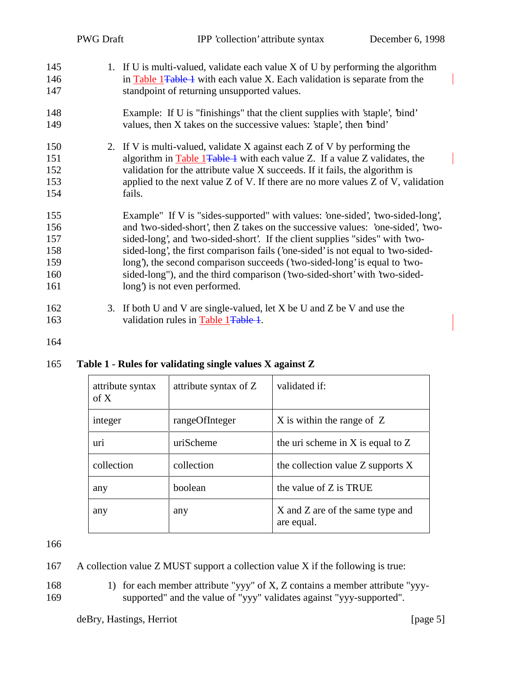| 145 | 1. If U is multi-valued, validate each value X of U by performing the algorithm       |
|-----|---------------------------------------------------------------------------------------|
| 146 | in Table 1 <del>Table 1</del> with each value X. Each validation is separate from the |
| 147 | standpoint of returning unsupported values.                                           |

- 148 Example: If U is "finishings" that the client supplies with 'staple', 'bind' 149 values, then X takes on the successive values: 'staple', then 'bind'
- 150 2. If V is multi-valued, validate X against each Z of V by performing the 151 algorithm in Table 1<del>Table 1</del> with each value Z. If a value Z validates, the 152 validation for the attribute value X succeeds. If it fails, the algorithm is 153 applied to the next value Z of V. If there are no more values Z of V, validation 154 fails.
- 155 Example" If V is "sides-supported" with values: 'one-sided', 'two-sided-long', 156 and 'two-sided-short', then Z takes on the successive values: 'one-sided', 'two-157 sided-long', and 'two-sided-short'. If the client supplies "sides" with 'two-158 sided-long', the first comparison fails ('one-sided' is not equal to 'two-sided-159 long'), the second comparison succeeds ('two-sided-long' is equal to 'two-160 sided-long"), and the third comparison ('two-sided-short' with 'two-sided-161 long' is not even performed.
- 162 3. If both U and V are single-valued, let X be U and Z be V and use the 163 validation rules in Table 1Table 1.
- 164

165 **Table 1 - Rules for validating single values X against Z**

| attribute syntax<br>of $X$ | attribute syntax of Z | validated if:                                  |
|----------------------------|-----------------------|------------------------------------------------|
| integer                    | rangeOfInteger        | X is within the range of Z                     |
| uri                        | uriScheme             | the uri scheme in X is equal to $Z$            |
| collection                 | collection            | the collection value $Z$ supports $X$          |
| any                        | boolean               | the value of Z is TRUE                         |
| any                        | any                   | X and Z are of the same type and<br>are equal. |

- 167 A collection value Z MUST support a collection value X if the following is true:
- 168 1) for each member attribute "yyy" of X, Z contains a member attribute "yyy-169 supported" and the value of "yyy" validates against "yyy-supported".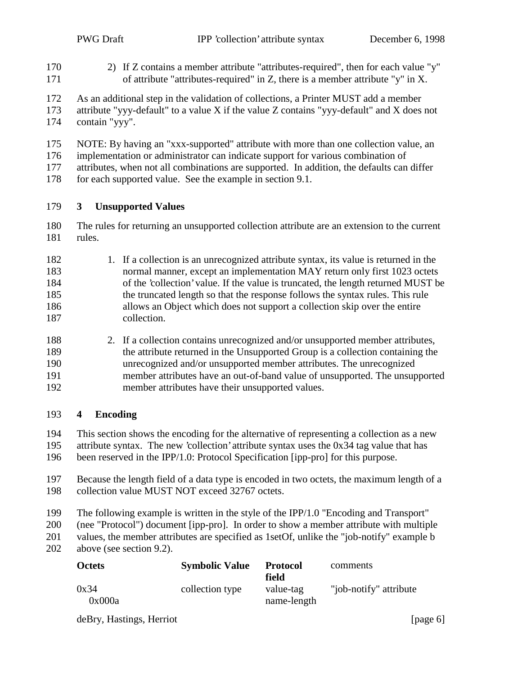- 2) If Z contains a member attribute "attributes-required", then for each value "y" of attribute "attributes-required" in Z, there is a member attribute "y" in X.
- As an additional step in the validation of collections, a Printer MUST add a member attribute "yyy-default" to a value X if the value Z contains "yyy-default" and X does not contain "yyy".
- NOTE: By having an "xxx-supported" attribute with more than one collection value, an
- implementation or administrator can indicate support for various combination of
- attributes, when not all combinations are supported. In addition, the defaults can differ
- for each supported value. See the example in section 9.1.

#### **3 Unsupported Values**

- The rules for returning an unsupported collection attribute are an extension to the current rules.
- 182 1. If a collection is an unrecognized attribute syntax, its value is returned in the normal manner, except an implementation MAY return only first 1023 octets of the 'collection' value. If the value is truncated, the length returned MUST be the truncated length so that the response follows the syntax rules. This rule allows an Object which does not support a collection skip over the entire collection.
- 2. If a collection contains unrecognized and/or unsupported member attributes, the attribute returned in the Unsupported Group is a collection containing the unrecognized and/or unsupported member attributes. The unrecognized member attributes have an out-of-band value of unsupported. The unsupported member attributes have their unsupported values.

#### **4 Encoding**

- This section shows the encoding for the alternative of representing a collection as a new
- attribute syntax. The new 'collection' attribute syntax uses the 0x34 tag value that has
- been reserved in the IPP/1.0: Protocol Specification [ipp-pro] for this purpose.
- Because the length field of a data type is encoded in two octets, the maximum length of a collection value MUST NOT exceed 32767 octets.
- The following example is written in the style of the IPP/1.0 "Encoding and Transport"
- (nee "Protocol") document [ipp-pro]. In order to show a member attribute with multiple
- values, the member attributes are specified as 1setOf, unlike the "job-notify" example b
- above (see section 9.2).

| <b>Octets</b>  | <b>Symbolic Value</b> | <b>Protocol</b><br>field | comments               |
|----------------|-----------------------|--------------------------|------------------------|
| 0x34<br>0x000a | collection type       | value-tag<br>name-length | "job-notify" attribute |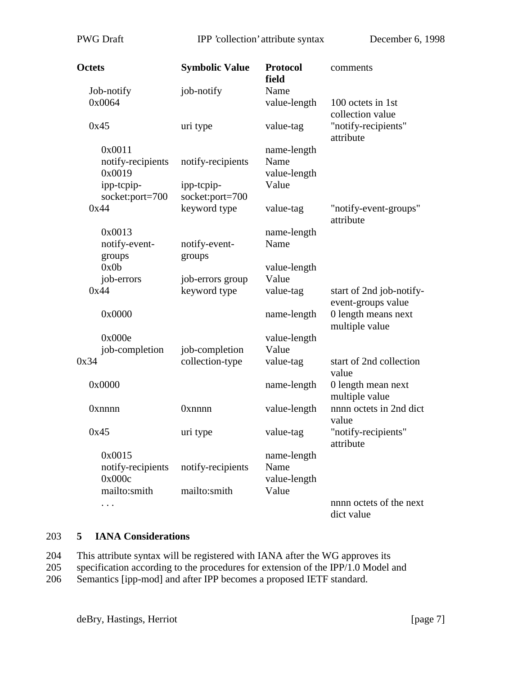| Octets                                | <b>Symbolic Value</b>            | <b>Protocol</b><br>field            | comments                                             |
|---------------------------------------|----------------------------------|-------------------------------------|------------------------------------------------------|
| Job-notify<br>0x0064                  | job-notify                       | Name<br>value-length                | 100 octets in 1st                                    |
| 0x45                                  | uri type                         | value-tag                           | collection value<br>"notify-recipients"<br>attribute |
| 0x0011<br>notify-recipients<br>0x0019 | notify-recipients                | name-length<br>Name<br>value-length |                                                      |
| ipp-tcpip-<br>socket:port=700         | ipp-tcpip-<br>socket:port=700    | Value                               |                                                      |
| 0x44                                  | keyword type                     | value-tag                           | "notify-event-groups"<br>attribute                   |
| 0x0013<br>notify-event-<br>groups     | notify-event-<br>groups          | name-length<br>Name                 |                                                      |
| 0x0b                                  |                                  | value-length                        |                                                      |
| job-errors<br>0x44                    | job-errors group<br>keyword type | Value<br>value-tag                  | start of 2nd job-notify-<br>event-groups value       |
| 0x0000                                |                                  | name-length                         | 0 length means next<br>multiple value                |
| 0x000e<br>job-completion              | job-completion                   | value-length<br>Value               |                                                      |
| 0x34                                  | collection-type                  | value-tag                           | start of 2nd collection<br>value                     |
| 0x0000                                |                                  | name-length                         | 0 length mean next<br>multiple value                 |
| <b>Oxnnnn</b>                         | <b>Oxnnnn</b>                    | value-length                        | nnnn octets in 2nd dict<br>value                     |
| 0x45                                  | uri type                         | value-tag                           | "notify-recipients"<br>attribute                     |
| 0x0015<br>notify-recipients<br>0x000c | notify-recipients                | name-length<br>Name<br>value-length |                                                      |
| mailto:smith<br>.                     | mailto:smith                     | Value                               | nnnn octets of the next<br>dict value                |

# 203 **5 IANA Considerations**

| 204 |  |  | This attribute syntax will be registered with IANA after the WG approves its |
|-----|--|--|------------------------------------------------------------------------------|
|-----|--|--|------------------------------------------------------------------------------|

205 specification according to the procedures for extension of the IPP/1.0 Model and

206 Semantics [ipp-mod] and after IPP becomes a proposed IETF standard.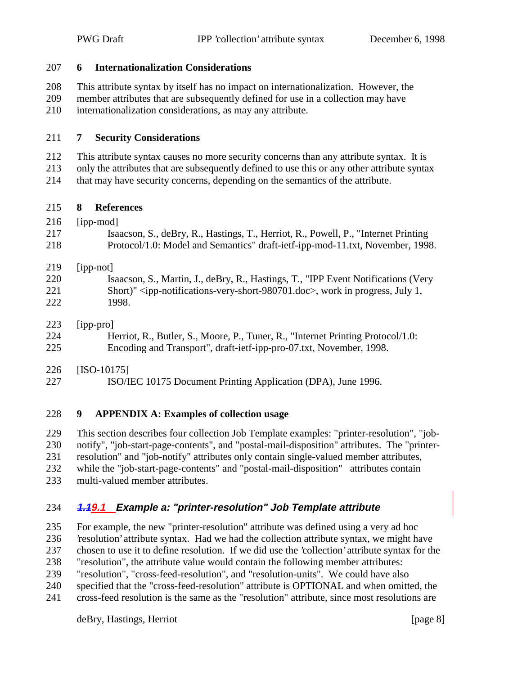# This attribute syntax by itself has no impact on internationalization. However, the member attributes that are subsequently defined for use in a collection may have

**6 Internationalization Considerations**

internationalization considerations, as may any attribute.

### **7 Security Considerations**

- This attribute syntax causes no more security concerns than any attribute syntax. It is
- only the attributes that are subsequently defined to use this or any other attribute syntax
- that may have security concerns, depending on the semantics of the attribute.

# **8 References**

216 [ipp-mod]

| 217 | Isaacson, S., deBry, R., Hastings, T., Herriot, R., Powell, P., "Internet Printing |
|-----|------------------------------------------------------------------------------------|
| 218 | Protocol/1.0: Model and Semantics" draft-ietf-ipp-mod-11.txt, November, 1998.      |

# [ipp-not]

- Isaacson, S., Martin, J., deBry, R., Hastings, T., "IPP Event Notifications (Very Short)" <ipp-notifications-very-short-980701.doc>, work in progress, July 1, 1998.
- [ipp-pro]
- Herriot, R., Butler, S., Moore, P., Tuner, R., "Internet Printing Protocol/1.0: Encoding and Transport", draft-ietf-ipp-pro-07.txt, November, 1998.
- [ISO-10175]
- ISO/IEC 10175 Document Printing Application (DPA), June 1996.

# **9 APPENDIX A: Examples of collection usage**

 This section describes four collection Job Template examples: "printer-resolution", "job- notify", "job-start-page-contents", and "postal-mail-disposition" attributes. The "printer- resolution" and "job-notify" attributes only contain single-valued member attributes, while the "job-start-page-contents" and "postal-mail-disposition" attributes contain multi-valued member attributes.

# **1.19.1 Example a: "printer-resolution" Job Template attribute**

 For example, the new "printer-resolution" attribute was defined using a very ad hoc 'resolution' attribute syntax. Had we had the collection attribute syntax, we might have chosen to use it to define resolution. If we did use the 'collection' attribute syntax for the

- "resolution", the attribute value would contain the following member attributes:
- "resolution", "cross-feed-resolution", and "resolution-units". We could have also
- specified that the "cross-feed-resolution" attribute is OPTIONAL and when omitted, the
- cross-feed resolution is the same as the "resolution" attribute, since most resolutions are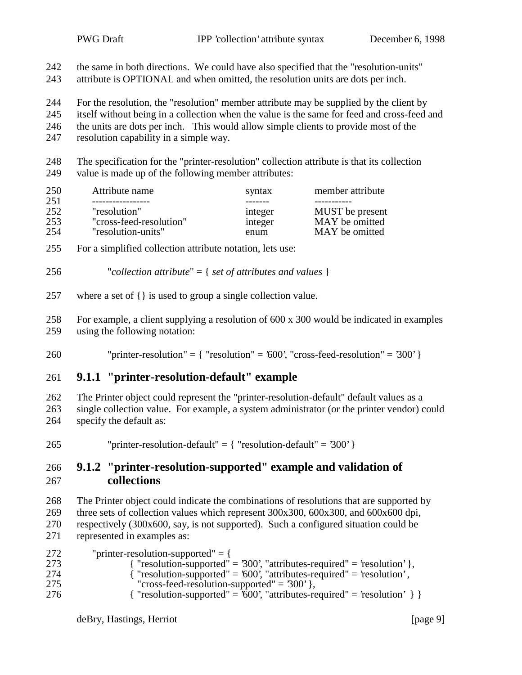| 242<br>243               | the same in both directions. We could have also specified that the "resolution-units"<br>attribute is OPTIONAL and when omitted, the resolution units are dots per inch.                                                                                                                                               |                                        |                                                                                                  |  |  |
|--------------------------|------------------------------------------------------------------------------------------------------------------------------------------------------------------------------------------------------------------------------------------------------------------------------------------------------------------------|----------------------------------------|--------------------------------------------------------------------------------------------------|--|--|
| 244<br>245<br>246<br>247 | For the resolution, the "resolution" member attribute may be supplied by the client by<br>itself without being in a collection when the value is the same for feed and cross-feed and<br>the units are dots per inch. This would allow simple clients to provide most of the<br>resolution capability in a simple way. |                                        |                                                                                                  |  |  |
| 248<br>249               | The specification for the "printer-resolution" collection attribute is that its collection<br>value is made up of the following member attributes:                                                                                                                                                                     |                                        |                                                                                                  |  |  |
| 250                      | Attribute name                                                                                                                                                                                                                                                                                                         | syntax                                 | member attribute                                                                                 |  |  |
| 251<br>252<br>253<br>254 | "resolution"<br>"cross-feed-resolution"<br>"resolution-units"                                                                                                                                                                                                                                                          | --------<br>integer<br>integer<br>enum | -----------<br>MUST be present<br>MAY be omitted<br>MAY be omitted                               |  |  |
| 255                      | For a simplified collection attribute notation, lets use:                                                                                                                                                                                                                                                              |                                        |                                                                                                  |  |  |
| 256                      | "collection attribute" = $\{ set of attributes and values \}$                                                                                                                                                                                                                                                          |                                        |                                                                                                  |  |  |
| 257                      | where a set of $\{\}$ is used to group a single collection value.                                                                                                                                                                                                                                                      |                                        |                                                                                                  |  |  |
| 258<br>259               | For example, a client supplying a resolution of 600 x 300 would be indicated in examples<br>using the following notation:                                                                                                                                                                                              |                                        |                                                                                                  |  |  |
| 260                      |                                                                                                                                                                                                                                                                                                                        |                                        | "printer-resolution" = $\{$ "resolution" = '600', "cross-feed-resolution" = '300' $\}$           |  |  |
| 261                      | 9.1.1 "printer-resolution-default" example                                                                                                                                                                                                                                                                             |                                        |                                                                                                  |  |  |
| 262<br>263<br>264        | The Printer object could represent the "printer-resolution-default" default values as a<br>specify the default as:                                                                                                                                                                                                     |                                        | single collection value. For example, a system administrator (or the printer vendor) could       |  |  |
| 265                      | "printer-resolution-default" = $\{$ "resolution-default" = $300'$ }                                                                                                                                                                                                                                                    |                                        |                                                                                                  |  |  |
| 266<br>267               | 9.1.2 "printer-resolution-supported" example and validation of<br>collections                                                                                                                                                                                                                                          |                                        |                                                                                                  |  |  |
| 268<br>269<br>270<br>271 | three sets of collection values which represent 300x300, 600x300, and 600x600 dpi,<br>respectively (300x600, say, is not supported). Such a configured situation could be<br>represented in examples as:                                                                                                               |                                        | The Printer object could indicate the combinations of resolutions that are supported by          |  |  |
| 272<br>273               | "printer-resolution-supported" = {                                                                                                                                                                                                                                                                                     |                                        | $\frac{1}{2}$ "resolution-supported" – $300'$ "attributes-required" – 'resolution' $\frac{1}{2}$ |  |  |

 { "resolution-supported" = '300', "attributes-required" = 'resolution' }, { "resolution-supported" = '600', "attributes-required" = 'resolution' , "cross-feed-resolution-supported" =  $300'$ },

```
276 \{ "resolution-supported" = \overline{600}, "attributes-required" = 'resolution' \} }
```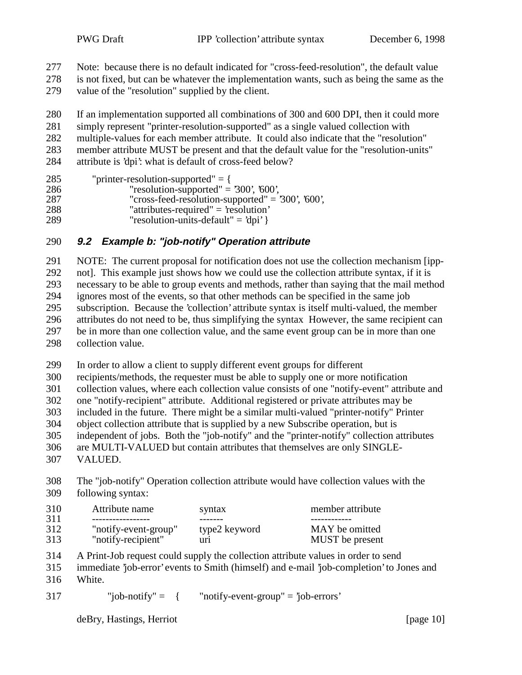Note: because there is no default indicated for "cross-feed-resolution", the default value

 is not fixed, but can be whatever the implementation wants, such as being the same as the value of the "resolution" supplied by the client.

 If an implementation supported all combinations of 300 and 600 DPI, then it could more simply represent "printer-resolution-supported" as a single valued collection with multiple-values for each member attribute. It could also indicate that the "resolution" member attribute MUST be present and that the default value for the "resolution-units"

attribute is 'dpi': what is default of cross-feed below?

| 285 | "printer-resolution-supported" $=$ {                |
|-----|-----------------------------------------------------|
| 286 | "resolution-supported" = $300'$ , $600'$ ,          |
| 287 | "cross-feed-resolution-supported" = $300$ ', '600', |
| 288 | "attributes-required" = $\text{resolution}$ "       |
| 289 | "resolution-units-default" = $dpi'$ }               |

# **9.2 Example b: "job-notify" Operation attribute**

 NOTE: The current proposal for notification does not use the collection mechanism [ipp- not]. This example just shows how we could use the collection attribute syntax, if it is necessary to be able to group events and methods, rather than saying that the mail method ignores most of the events, so that other methods can be specified in the same job subscription. Because the 'collection' attribute syntax is itself multi-valued, the member attributes do not need to be, thus simplifying the syntax However, the same recipient can be in more than one collection value, and the same event group can be in more than one collection value.

In order to allow a client to supply different event groups for different

recipients/methods, the requester must be able to supply one or more notification

collection values, where each collection value consists of one "notify-event" attribute and

one "notify-recipient" attribute. Additional registered or private attributes may be

included in the future. There might be a similar multi-valued "printer-notify" Printer

object collection attribute that is supplied by a new Subscribe operation, but is

independent of jobs. Both the "job-notify" and the "printer-notify" collection attributes

are MULTI-VALUED but contain attributes that themselves are only SINGLE-

VALUED.

 The "job-notify" Operation collection attribute would have collection values with the following syntax:

| 310 | Attribute name       | syntax        | member attribute |
|-----|----------------------|---------------|------------------|
| 311 | ----------------     |               |                  |
| 312 | "notify-event-group" | type2 keyword | MAY be omitted   |
| 313 | "notify-recipient"   | uri           | MUST be present  |

A Print-Job request could supply the collection attribute values in order to send

immediate 'job-error' events to Smith (himself) and e-mail 'job-completion' to Jones and

- White.
- "job-notify" = { "notify-event-group" =  $\text{'lob-errors'}$

deBry, Hastings, Herriot [page 10]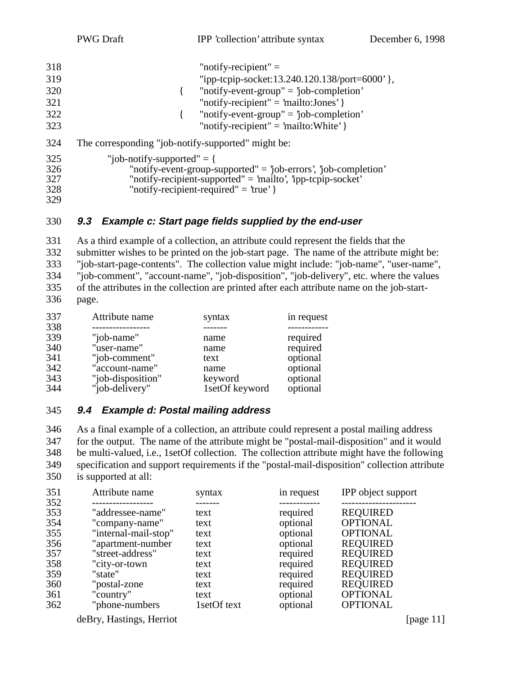| 318 | "notify-recipient" $=$                                              |
|-----|---------------------------------------------------------------------|
| 319 | "ipp-tcpip-socket:13.240.120.138/port=6000' },                      |
| 320 | "notify-event-group" = $job$ -completion'                           |
| 321 | "notify-recipient" = 'mailto:Jones' }                               |
| 322 | "notify-event-group" = $\ddot{\text{j}}$ ob-completion'             |
| 323 | "notify-recipient" = 'mailto: White' $\}$                           |
| 324 | The corresponding "job-notify-supported" might be:                  |
| 325 | "job-notify-supported" $=$ {                                        |
| 326 | "notify-event-group-supported" = $j$ ob-errors', $j$ ob-completion' |
|     |                                                                     |

- 327 "notify-recipient-supported" = 'mailto', 'ipp-tcpip-socket'<br>328 "notify-recipient-required" = 'true' } "notify-recipient-required" =  $true'$  }
- 

#### **9.3 Example c: Start page fields supplied by the end-user**

 As a third example of a collection, an attribute could represent the fields that the submitter wishes to be printed on the job-start page. The name of the attribute might be: "job-start-page-contents". The collection value might include: "job-name", "user-name", "job-comment", "account-name", "job-disposition", "job-delivery", etc. where the values of the attributes in the collection are printed after each attribute name on the job-start-page.

| 337 | Attribute name    | syntax         | in request |
|-----|-------------------|----------------|------------|
| 338 |                   |                |            |
| 339 | "job-name"        | name           | required   |
| 340 | "user-name"       | name           | required   |
| 341 | "job-comment"     | text           | optional   |
| 342 | "account-name"    | name           | optional   |
| 343 | "job-disposition" | keyword        | optional   |
| 344 | "job-delivery"    | 1setOf keyword | optional   |

#### **9.4 Example d: Postal mailing address**

 As a final example of a collection, an attribute could represent a postal mailing address for the output. The name of the attribute might be "postal-mail-disposition" and it would be multi-valued, i.e., 1setOf collection. The collection attribute might have the following specification and support requirements if the "postal-mail-disposition" collection attribute is supported at all:

| 351 | Attribute name       | syntax      | in request | IPP object support |
|-----|----------------------|-------------|------------|--------------------|
| 352 |                      |             |            |                    |
| 353 | "addressee-name"     | text        | required   | <b>REQUIRED</b>    |
| 354 | "company-name"       | text        | optional   | <b>OPTIONAL</b>    |
| 355 | "internal-mail-stop" | text        | optional   | <b>OPTIONAL</b>    |
| 356 | "apartment-number    | text        | optional   | <b>REQUIRED</b>    |
| 357 | "street-address"     | text        | required   | <b>REQUIRED</b>    |
| 358 | "city-or-town        | text        | required   | <b>REQUIRED</b>    |
| 359 | "state"              | text        | required   | <b>REQUIRED</b>    |
| 360 | "postal-zone"        | text        | required   | <b>REQUIRED</b>    |
| 361 | "country"            | text        | optional   | <b>OPTIONAL</b>    |
| 362 | "phone-numbers"      | 1setOf text | optional   | <b>OPTIONAL</b>    |
|     |                      |             |            |                    |

deBry, Hastings, Herriot [page 11]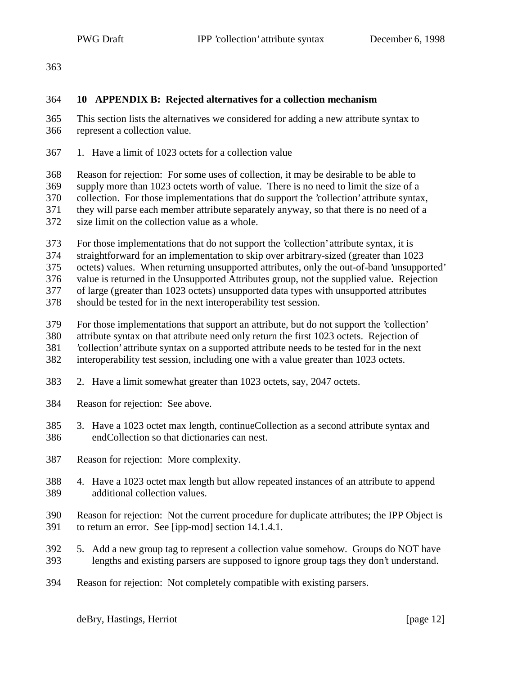#### **10 APPENDIX B: Rejected alternatives for a collection mechanism**

 This section lists the alternatives we considered for adding a new attribute syntax to represent a collection value.

1. Have a limit of 1023 octets for a collection value

 Reason for rejection: For some uses of collection, it may be desirable to be able to supply more than 1023 octets worth of value. There is no need to limit the size of a collection. For those implementations that do support the 'collection' attribute syntax, they will parse each member attribute separately anyway, so that there is no need of a size limit on the collection value as a whole.

For those implementations that do not support the 'collection' attribute syntax, it is

straightforward for an implementation to skip over arbitrary-sized (greater than 1023

octets) values. When returning unsupported attributes, only the out-of-band 'unsupported'

value is returned in the Unsupported Attributes group, not the supplied value. Rejection

of large (greater than 1023 octets) unsupported data types with unsupported attributes

should be tested for in the next interoperability test session.

For those implementations that support an attribute, but do not support the 'collection'

attribute syntax on that attribute need only return the first 1023 octets. Rejection of

'collection' attribute syntax on a supported attribute needs to be tested for in the next

interoperability test session, including one with a value greater than 1023 octets.

- 2. Have a limit somewhat greater than 1023 octets, say, 2047 octets.
- Reason for rejection: See above.
- 3. Have a 1023 octet max length, continueCollection as a second attribute syntax and endCollection so that dictionaries can nest.
- Reason for rejection: More complexity.
- 4. Have a 1023 octet max length but allow repeated instances of an attribute to append additional collection values.
- Reason for rejection: Not the current procedure for duplicate attributes; the IPP Object is to return an error. See [ipp-mod] section 14.1.4.1.
- 5. Add a new group tag to represent a collection value somehow. Groups do NOT have lengths and existing parsers are supposed to ignore group tags they don't understand.
- Reason for rejection: Not completely compatible with existing parsers.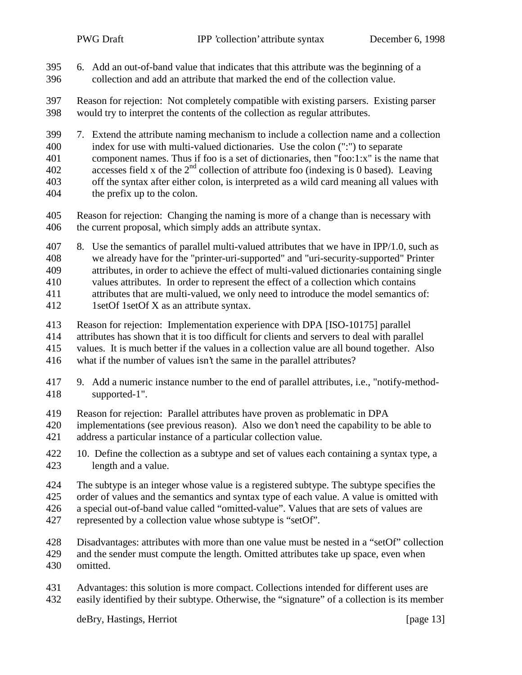- 6. Add an out-of-band value that indicates that this attribute was the beginning of a collection and add an attribute that marked the end of the collection value.
- Reason for rejection: Not completely compatible with existing parsers. Existing parser would try to interpret the contents of the collection as regular attributes.
- 7. Extend the attribute naming mechanism to include a collection name and a collection index for use with multi-valued dictionaries. Use the colon (":") to separate
- component names. Thus if foo is a set of dictionaries, then "foo:1:x" is the name that
- 402 accesses field x of the  $2<sup>nd</sup>$  collection of attribute foo (indexing is 0 based). Leaving
- off the syntax after either colon, is interpreted as a wild card meaning all values with the prefix up to the colon.
- Reason for rejection: Changing the naming is more of a change than is necessary with the current proposal, which simply adds an attribute syntax.
- 8. Use the semantics of parallel multi-valued attributes that we have in IPP/1.0, such as we already have for the "printer-uri-supported" and "uri-security-supported" Printer attributes, in order to achieve the effect of multi-valued dictionaries containing single
- values attributes. In order to represent the effect of a collection which contains
- attributes that are multi-valued, we only need to introduce the model semantics of:
- 1setOf 1setOf X as an attribute syntax.
- Reason for rejection: Implementation experience with DPA [ISO-10175] parallel
- attributes has shown that it is too difficult for clients and servers to deal with parallel
- values. It is much better if the values in a collection value are all bound together. Also
- what if the number of values isn't the same in the parallel attributes?
- 9. Add a numeric instance number to the end of parallel attributes, i.e., "notify-method-supported-1".
- Reason for rejection: Parallel attributes have proven as problematic in DPA
- implementations (see previous reason). Also we don't need the capability to be able to
- address a particular instance of a particular collection value.
- 422 10. Define the collection as a subtype and set of values each containing a syntax type, a length and a value.
- The subtype is an integer whose value is a registered subtype. The subtype specifies the
- order of values and the semantics and syntax type of each value. A value is omitted with
- a special out-of-band value called "omitted-value". Values that are sets of values are
- represented by a collection value whose subtype is "setOf".
- Disadvantages: attributes with more than one value must be nested in a "setOf" collection and the sender must compute the length. Omitted attributes take up space, even when omitted.
- Advantages: this solution is more compact. Collections intended for different uses are easily identified by their subtype. Otherwise, the "signature" of a collection is its member